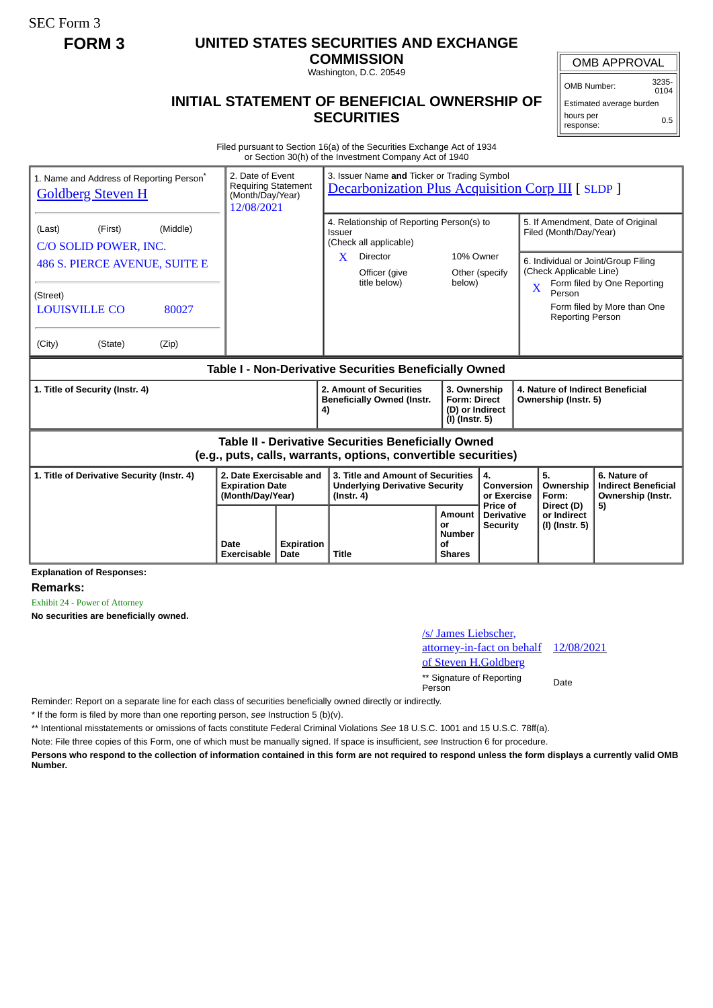SEC Form 3

## **FORM 3 UNITED STATES SECURITIES AND EXCHANGE**

**COMMISSION**

Washington, D.C. 20549

## **INITIAL STATEMENT OF BENEFICIAL OWNERSHIP OF SECURITIES**

OMB APPROVAL

OMB Number: 3235-  $0104$ 

Estimated average burden hours per response: 0.5

Filed pursuant to Section 16(a) of the Securities Exchange Act of 1934 or Section 30(h) of the Investment Company Act of 1940

| 1. Name and Address of Reporting Person <sup>®</sup><br><b>Goldberg Steven H</b>                                             | 2. Date of Event<br><b>Requiring Statement</b><br>(Month/Day/Year)<br>12/08/2021 |                           | 3. Issuer Name and Ticker or Trading Symbol<br><b>Decarbonization Plus Acquisition Corp III [ SLDP ]</b> |                                                                          |                                                  |                                                                                                    |                                                                 |  |
|------------------------------------------------------------------------------------------------------------------------------|----------------------------------------------------------------------------------|---------------------------|----------------------------------------------------------------------------------------------------------|--------------------------------------------------------------------------|--------------------------------------------------|----------------------------------------------------------------------------------------------------|-----------------------------------------------------------------|--|
| (Middle)<br>(First)<br>(Last)<br>C/O SOLID POWER, INC.<br>486 S. PIERCE AVENUE, SUITE E                                      |                                                                                  |                           | 4. Relationship of Reporting Person(s) to<br>Issuer<br>(Check all applicable)<br><b>Director</b><br>X    | 10% Owner                                                                |                                                  | 5. If Amendment, Date of Original<br>Filed (Month/Day/Year)<br>6. Individual or Joint/Group Filing |                                                                 |  |
| (Street)<br><b>LOUISVILLE CO</b><br>80027<br>(City)<br>(State)<br>(Zip)                                                      |                                                                                  |                           | Officer (give<br>title below)                                                                            | below)                                                                   | Other (specify                                   | (Check Applicable Line)<br>$\mathbf x$<br>Person<br><b>Reporting Person</b>                        | Form filed by One Reporting<br>Form filed by More than One      |  |
| Table I - Non-Derivative Securities Beneficially Owned                                                                       |                                                                                  |                           |                                                                                                          |                                                                          |                                                  |                                                                                                    |                                                                 |  |
| 1. Title of Security (Instr. 4)                                                                                              |                                                                                  |                           | 2. Amount of Securities<br><b>Beneficially Owned (Instr.</b><br>4)                                       | 3. Ownership<br><b>Form: Direct</b><br>(D) or Indirect<br>(I) (Instr. 5) |                                                  | 4. Nature of Indirect Beneficial<br>Ownership (Instr. 5)                                           |                                                                 |  |
| <b>Table II - Derivative Securities Beneficially Owned</b><br>(e.g., puts, calls, warrants, options, convertible securities) |                                                                                  |                           |                                                                                                          |                                                                          |                                                  |                                                                                                    |                                                                 |  |
| 2. Date Exercisable and<br>1. Title of Derivative Security (Instr. 4)<br><b>Expiration Date</b><br>(Month/Day/Year)          |                                                                                  |                           | 3. Title and Amount of Securities<br><b>Underlying Derivative Security</b><br>$($ lnstr. 4 $)$           |                                                                          | 4.<br><b>Conversion</b><br>or Exercise           | 5.<br>Ownership<br>Form:                                                                           | 6. Nature of<br><b>Indirect Beneficial</b><br>Ownership (Instr. |  |
|                                                                                                                              | Date<br><b>Exercisable</b>                                                       | <b>Expiration</b><br>Date | Title                                                                                                    | <b>Amount</b><br>or<br><b>Number</b><br>Ωf<br><b>Shares</b>              | Price of<br><b>Derivative</b><br><b>Security</b> | Direct (D)<br>or Indirect<br>(I) (Instr. 5)                                                        | 5)                                                              |  |

**Explanation of Responses:**

**Remarks:**

Exhibit 24 - Power of Attorney

**No securities are beneficially owned.**

## /s/ James Liebscher, attorney-in-fact on behalf of Steven H.Goldberg 12/08/2021 \*\* Signature of Reporting Person Date

Reminder: Report on a separate line for each class of securities beneficially owned directly or indirectly.

\* If the form is filed by more than one reporting person, *see* Instruction 5 (b)(v).

\*\* Intentional misstatements or omissions of facts constitute Federal Criminal Violations *See* 18 U.S.C. 1001 and 15 U.S.C. 78ff(a).

Note: File three copies of this Form, one of which must be manually signed. If space is insufficient, *see* Instruction 6 for procedure.

**Persons who respond to the collection of information contained in this form are not required to respond unless the form displays a currently valid OMB Number.**